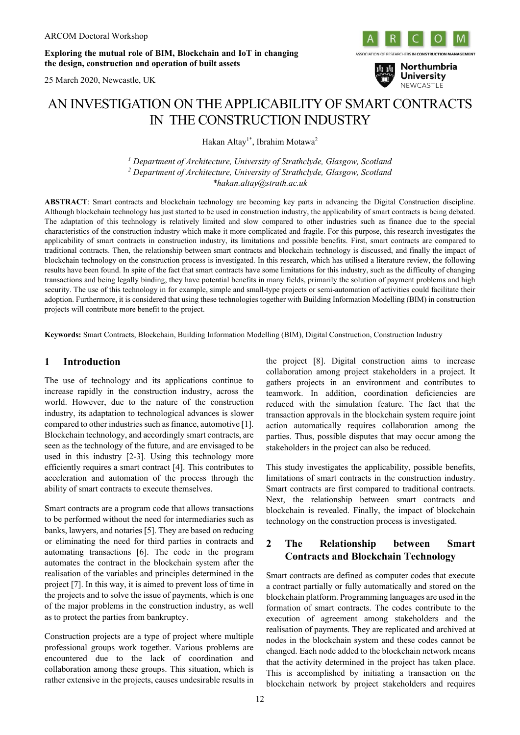**Exploring the mutual role of BIM, Blockchain and IoT in changing the design, construction and operation of built assets**

25 March 2020, Newcastle, UK





# AN INVESTIGATION ON THE APPLICABILITY OF SMART CONTRACTS IN THE CONSTRUCTION INDUSTRY

Hakan Altay<sup>1\*</sup>, Ibrahim Motawa<sup>2</sup>

*<sup>1</sup> Department of Architecture, University of Strathclyde, Glasgow, Scotland <sup>2</sup> Department of Architecture, University of Strathclyde, Glasgow, Scotland \*hakan.altay@strath.ac.uk*

**ABSTRACT**: Smart contracts and blockchain technology are becoming key parts in advancing the Digital Construction discipline. Although blockchain technology has just started to be used in construction industry, the applicability of smart contracts is being debated. The adaptation of this technology is relatively limited and slow compared to other industries such as finance due to the special characteristics of the construction industry which make it more complicated and fragile. For this purpose, this research investigates the applicability of smart contracts in construction industry, its limitations and possible benefits. First, smart contracts are compared to traditional contracts. Then, the relationship between smart contracts and blockchain technology is discussed, and finally the impact of blockchain technology on the construction process is investigated. In this research, which has utilised a literature review, the following results have been found. In spite of the fact that smart contracts have some limitations for this industry, such as the difficulty of changing transactions and being legally binding, they have potential benefits in many fields, primarily the solution of payment problems and high security. The use of this technology in for example, simple and small-type projects or semi-automation of activities could facilitate their adoption. Furthermore, it is considered that using these technologies together with Building Information Modelling (BIM) in construction projects will contribute more benefit to the project.

**Keywords:** Smart Contracts, Blockchain, Building Information Modelling (BIM), Digital Construction, Construction Industry

### **1 Introduction**

The use of technology and its applications continue to increase rapidly in the construction industry, across the world. However, due to the nature of the construction industry, its adaptation to technological advances is slower compared to other industries such as finance, automotive [1]. Blockchain technology, and accordingly smart contracts, are seen as the technology of the future, and are envisaged to be used in this industry [2-3]. Using this technology more efficiently requires a smart contract [4]. This contributes to acceleration and automation of the process through the ability of smart contracts to execute themselves.

Smart contracts are a program code that allows transactions to be performed without the need for intermediaries such as banks, lawyers, and notaries [5]. They are based on reducing or eliminating the need for third parties in contracts and automating transactions [6]. The code in the program automates the contract in the blockchain system after the realisation of the variables and principles determined in the project [7]. In this way, it is aimed to prevent loss of time in the projects and to solve the issue of payments, which is one of the major problems in the construction industry, as well as to protect the parties from bankruptcy.

Construction projects are a type of project where multiple professional groups work together. Various problems are encountered due to the lack of coordination and collaboration among these groups. This situation, which is rather extensive in the projects, causes undesirable results in the project [8]. Digital construction aims to increase collaboration among project stakeholders in a project. It gathers projects in an environment and contributes to teamwork. In addition, coordination deficiencies are reduced with the simulation feature. The fact that the transaction approvals in the blockchain system require joint action automatically requires collaboration among the parties. Thus, possible disputes that may occur among the stakeholders in the project can also be reduced.

This study investigates the applicability, possible benefits, limitations of smart contracts in the construction industry. Smart contracts are first compared to traditional contracts. Next, the relationship between smart contracts and blockchain is revealed. Finally, the impact of blockchain technology on the construction process is investigated.

## **2 The Relationship between Smart Contracts and Blockchain Technology**

Smart contracts are defined as computer codes that execute a contract partially or fully automatically and stored on the blockchain platform. Programming languages are used in the formation of smart contracts. The codes contribute to the execution of agreement among stakeholders and the realisation of payments. They are replicated and archived at nodes in the blockchain system and these codes cannot be changed. Each node added to the blockchain network means that the activity determined in the project has taken place. This is accomplished by initiating a transaction on the blockchain network by project stakeholders and requires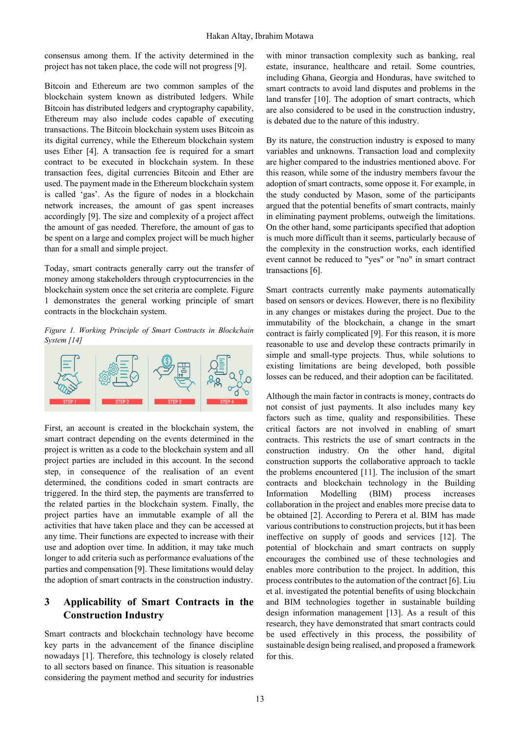consensus among them. If the activity determined in the project has not taken place, the code will not progress [9].

Bitcoin and Ethereum are two common samples of the blockchain system known as distributed ledgers. While Bitcoin has distributed ledgers and cryptography capability, Ethereum may also include codes capable of executing transactions. The Bitcoin blockchain system uses Bitcoin as its digital currency, while the Ethereum blockchain system uses Ether [4]. A transaction fee is required for a smart contract to be executed in blockchain system. In these transaction fees, digital currencies Bitcoin and Ether are used. The payment made in the Ethereum blockchain system is called 'gas'. As the figure of nodes in a blockchain network increases, the amount of gas spent increases accordingly [9]. The size and complexity of a project affect the amount of gas needed. Therefore, the amount of gas to be spent on a large and complex project will be much higher than for a small and simple project.

Today, smart contracts generally carry out the transfer of money among stakeholders through cryptocurrencies in the blockchain system once the set criteria are complete. Figure 1 demonstrates the general working principle of smart contracts in the blockchain system.

*Figure 1. Working Principle of Smart Contracts in Blockchain System [14]*



First, an account is created in the blockchain system, the smart contract depending on the events determined in the project is written as a code to the blockchain system and all project parties are included in this account. In the second step, in consequence of the realisation of an event determined, the conditions coded in smart contracts are triggered. In the third step, the payments are transferred to the related parties in the blockchain system. Finally, the project parties have an immutable example of all the activities that have taken place and they can be accessed at any time. Their functions are expected to increase with their use and adoption over time. In addition, it may take much longer to add criteria such as performance evaluations of the parties and compensation [9]. These limitations would delay the adoption of smart contracts in the construction industry.

## **3 Applicability of Smart Contracts in the Construction Industry**

Smart contracts and blockchain technology have become key parts in the advancement of the finance discipline nowadays [1]. Therefore, this technology is closely related to all sectors based on finance. This situation is reasonable considering the payment method and security for industries

with minor transaction complexity such as banking, real estate, insurance, healthcare and retail. Some countries, including Ghana, Georgia and Honduras, have switched to smart contracts to avoid land disputes and problems in the land transfer [10]. The adoption of smart contracts, which are also considered to be used in the construction industry, is debated due to the nature of this industry.

By its nature, the construction industry is exposed to many variables and unknowns. Transaction load and complexity are higher compared to the industries mentioned above. For this reason, while some of the industry members favour the adoption of smart contracts, some oppose it. For example, in the study conducted by Mason, some of the participants argued that the potential benefits of smart contracts, mainly in eliminating payment problems, outweigh the limitations. On the other hand, some participants specified that adoption is much more difficult than it seems, particularly because of the complexity in the construction works, each identified event cannot be reduced to "yes" or "no" in smart contract transactions [6].

Smart contracts currently make payments automatically based on sensors or devices. However, there is no flexibility in any changes or mistakes during the project. Due to the immutability of the blockchain, a change in the smart contract is fairly complicated [9]. For this reason, it is more reasonable to use and develop these contracts primarily in simple and small-type projects. Thus, while solutions to existing limitations are being developed, both possible losses can be reduced, and their adoption can be facilitated.

Although the main factor in contracts is money, contracts do not consist of just payments. It also includes many key factors such as time, quality and responsibilities. These critical factors are not involved in enabling of smart contracts. This restricts the use of smart contracts in the construction industry. On the other hand, digital construction supports the collaborative approach to tackle the problems encountered [11]. The inclusion of the smart contracts and blockchain technology in the Building Information Modelling (BIM) process increases collaboration in the project and enables more precise data to be obtained [2]. According to Perera et al. BIM has made various contributions to construction projects, but it has been ineffective on supply of goods and services [12]. The potential of blockchain and smart contracts on supply encourages the combined use of these technologies and enables more contribution to the project. In addition, this process contributes to the automation of the contract [6]. Liu et al. investigated the potential benefits of using blockchain and BIM technologies together in sustainable building design information management [13]. As a result of this research, they have demonstrated that smart contracts could be used effectively in this process, the possibility of sustainable design being realised, and proposed a framework for this.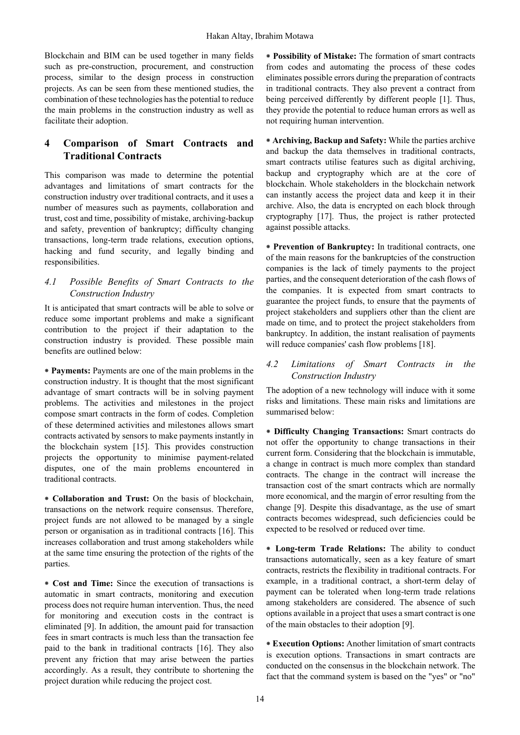Blockchain and BIM can be used together in many fields such as pre-construction, procurement, and construction process, similar to the design process in construction projects. As can be seen from these mentioned studies, the combination of these technologies has the potential to reduce the main problems in the construction industry as well as facilitate their adoption.

## **4 Comparison of Smart Contracts and Traditional Contracts**

This comparison was made to determine the potential advantages and limitations of smart contracts for the construction industry over traditional contracts, and it uses a number of measures such as payments, collaboration and trust, cost and time, possibility of mistake, archiving-backup and safety, prevention of bankruptcy; difficulty changing transactions, long-term trade relations, execution options, hacking and fund security, and legally binding and responsibilities.

#### *4.1 Possible Benefits of Smart Contracts to the Construction Industry*

It is anticipated that smart contracts will be able to solve or reduce some important problems and make a significant contribution to the project if their adaptation to the construction industry is provided. These possible main benefits are outlined below:

**⁕ Payments:** Payments are one of the main problems in the construction industry. It is thought that the most significant advantage of smart contracts will be in solving payment problems. The activities and milestones in the project compose smart contracts in the form of codes. Completion of these determined activities and milestones allows smart contracts activated by sensors to make payments instantly in the blockchain system [15]. This provides construction projects the opportunity to minimise payment-related disputes, one of the main problems encountered in traditional contracts.

**⁕ Collaboration and Trust:** On the basis of blockchain, transactions on the network require consensus. Therefore, project funds are not allowed to be managed by a single person or organisation as in traditional contracts [16]. This increases collaboration and trust among stakeholders while at the same time ensuring the protection of the rights of the parties.

**⁕ Cost and Time:** Since the execution of transactions is automatic in smart contracts, monitoring and execution process does not require human intervention. Thus, the need for monitoring and execution costs in the contract is eliminated [9]. In addition, the amount paid for transaction fees in smart contracts is much less than the transaction fee paid to the bank in traditional contracts [16]. They also prevent any friction that may arise between the parties accordingly. As a result, they contribute to shortening the project duration while reducing the project cost.

**⁕ Possibility of Mistake:** The formation of smart contracts from codes and automating the process of these codes eliminates possible errors during the preparation of contracts in traditional contracts. They also prevent a contract from being perceived differently by different people [1]. Thus, they provide the potential to reduce human errors as well as not requiring human intervention.

**⁕ Archiving, Backup and Safety:** While the parties archive and backup the data themselves in traditional contracts, smart contracts utilise features such as digital archiving, backup and cryptography which are at the core of blockchain. Whole stakeholders in the blockchain network can instantly access the project data and keep it in their archive. Also, the data is encrypted on each block through cryptography [17]. Thus, the project is rather protected against possible attacks.

**⁕ Prevention of Bankruptcy:** In traditional contracts, one of the main reasons for the bankruptcies of the construction companies is the lack of timely payments to the project parties, and the consequent deterioration of the cash flows of the companies. It is expected from smart contracts to guarantee the project funds, to ensure that the payments of project stakeholders and suppliers other than the client are made on time, and to protect the project stakeholders from bankruptcy. In addition, the instant realisation of payments will reduce companies' cash flow problems [18].

#### *4.2 Limitations of Smart Contracts in the Construction Industry*

The adoption of a new technology will induce with it some risks and limitations. These main risks and limitations are summarised below:

**⁕ Difficulty Changing Transactions:** Smart contracts do not offer the opportunity to change transactions in their current form. Considering that the blockchain is immutable, a change in contract is much more complex than standard contracts. The change in the contract will increase the transaction cost of the smart contracts which are normally more economical, and the margin of error resulting from the change [9]. Despite this disadvantage, as the use of smart contracts becomes widespread, such deficiencies could be expected to be resolved or reduced over time.

**⁕ Long-term Trade Relations:** The ability to conduct transactions automatically, seen as a key feature of smart contracts, restricts the flexibility in traditional contracts. For example, in a traditional contract, a short-term delay of payment can be tolerated when long-term trade relations among stakeholders are considered. The absence of such options available in a project that uses a smart contract is one of the main obstacles to their adoption [9].

**⁕ Execution Options:** Another limitation of smart contracts is execution options. Transactions in smart contracts are conducted on the consensus in the blockchain network. The fact that the command system is based on the "yes" or "no"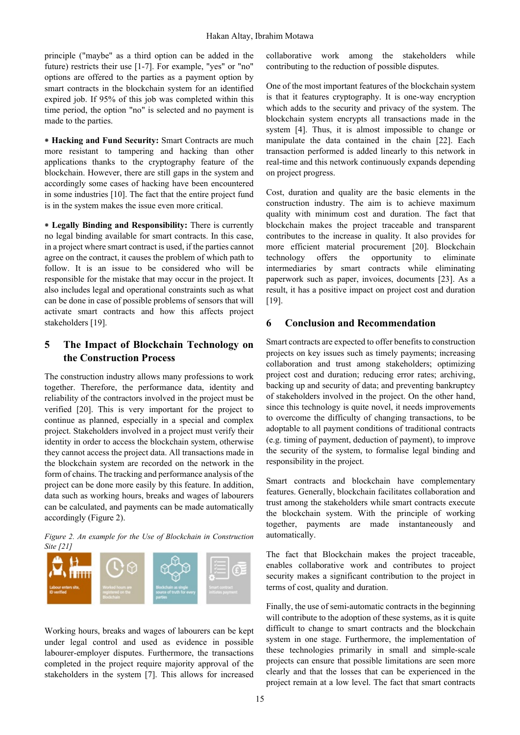principle ("maybe" as a third option can be added in the future) restricts their use [1-7]. For example, "yes" or "no" options are offered to the parties as a payment option by smart contracts in the blockchain system for an identified expired job. If 95% of this job was completed within this time period, the option "no" is selected and no payment is made to the parties.

**⁕ Hacking and Fund Security:** Smart Contracts are much more resistant to tampering and hacking than other applications thanks to the cryptography feature of the blockchain. However, there are still gaps in the system and accordingly some cases of hacking have been encountered in some industries [10]. The fact that the entire project fund is in the system makes the issue even more critical.

**⁕ Legally Binding and Responsibility:** There is currently no legal binding available for smart contracts. In this case, in a project where smart contract is used, if the parties cannot agree on the contract, it causes the problem of which path to follow. It is an issue to be considered who will be responsible for the mistake that may occur in the project. It also includes legal and operational constraints such as what can be done in case of possible problems of sensors that will activate smart contracts and how this affects project stakeholders [19].

## **5 The Impact of Blockchain Technology on the Construction Process**

The construction industry allows many professions to work together. Therefore, the performance data, identity and reliability of the contractors involved in the project must be verified [20]. This is very important for the project to continue as planned, especially in a special and complex project. Stakeholders involved in a project must verify their identity in order to access the blockchain system, otherwise they cannot access the project data. All transactions made in the blockchain system are recorded on the network in the form of chains. The tracking and performance analysis of the project can be done more easily by this feature. In addition, data such as working hours, breaks and wages of labourers can be calculated, and payments can be made automatically accordingly (Figure 2).

*Figure 2. An example for the Use of Blockchain in Construction Site [21]*



Working hours, breaks and wages of labourers can be kept under legal control and used as evidence in possible labourer-employer disputes. Furthermore, the transactions completed in the project require majority approval of the stakeholders in the system [7]. This allows for increased

collaborative work among the stakeholders while contributing to the reduction of possible disputes.

One of the most important features of the blockchain system is that it features cryptography. It is one-way encryption which adds to the security and privacy of the system. The blockchain system encrypts all transactions made in the system [4]. Thus, it is almost impossible to change or manipulate the data contained in the chain [22]. Each transaction performed is added linearly to this network in real-time and this network continuously expands depending on project progress.

Cost, duration and quality are the basic elements in the construction industry. The aim is to achieve maximum quality with minimum cost and duration. The fact that blockchain makes the project traceable and transparent contributes to the increase in quality. It also provides for more efficient material procurement [20]. Blockchain technology offers the opportunity to eliminate intermediaries by smart contracts while eliminating paperwork such as paper, invoices, documents [23]. As a result, it has a positive impact on project cost and duration [19].

#### **6 Conclusion and Recommendation**

Smart contracts are expected to offer benefits to construction projects on key issues such as timely payments; increasing collaboration and trust among stakeholders; optimizing project cost and duration; reducing error rates; archiving, backing up and security of data; and preventing bankruptcy of stakeholders involved in the project. On the other hand, since this technology is quite novel, it needs improvements to overcome the difficulty of changing transactions, to be adoptable to all payment conditions of traditional contracts (e.g. timing of payment, deduction of payment), to improve the security of the system, to formalise legal binding and responsibility in the project.

Smart contracts and blockchain have complementary features. Generally, blockchain facilitates collaboration and trust among the stakeholders while smart contracts execute the blockchain system. With the principle of working together, payments are made instantaneously and automatically.

The fact that Blockchain makes the project traceable, enables collaborative work and contributes to project security makes a significant contribution to the project in terms of cost, quality and duration.

Finally, the use of semi-automatic contracts in the beginning will contribute to the adoption of these systems, as it is quite difficult to change to smart contracts and the blockchain system in one stage. Furthermore, the implementation of these technologies primarily in small and simple-scale projects can ensure that possible limitations are seen more clearly and that the losses that can be experienced in the project remain at a low level. The fact that smart contracts